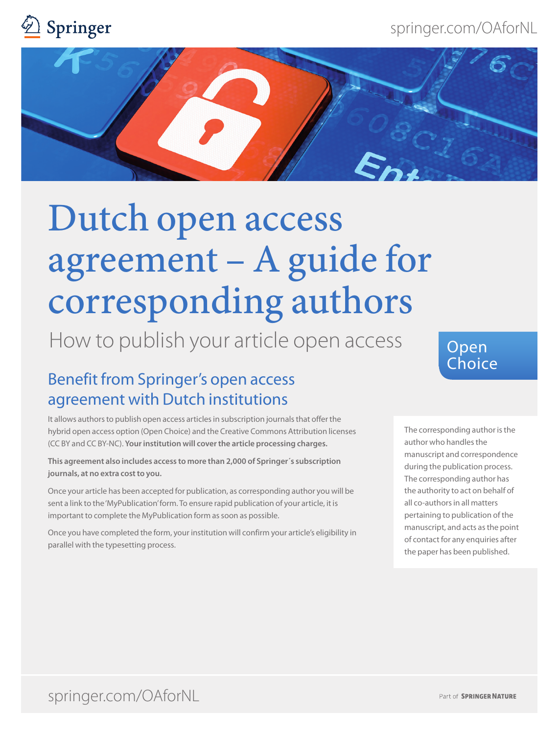springer.com/OAforNL





# Dutch open access agreement – A guide for corresponding authors

How to publish your article open access

# Benefit from Springer's open access agreement with Dutch institutions

It allows authors to publish open access articles in subscription journals that offer the hybrid open access option (Open Choice) and the Creative Commons Attribution licenses (CC BY and CC BY-NC). **Your institution will cover the article processing charges.**

**This agreement also includes access to more than 2,000 of Springer´s subscription journals, at no extra cost to you.**

Once your article has been accepted for publication, as corresponding author you will be sent a link to the 'MyPublication' form. To ensure rapid publication of your article, it is important to complete the MyPublication form as soon as possible.

Once you have completed the form, your institution will confirm your article's eligibility in parallel with the typesetting process.

## Open **Choice**

The corresponding author is the author who handles the manuscript and correspondence during the publication process. The corresponding author has the authority to act on behalf of all co-authors in all matters pertaining to publication of the manuscript, and acts as the point of contact for any enquiries after the paper has been published.